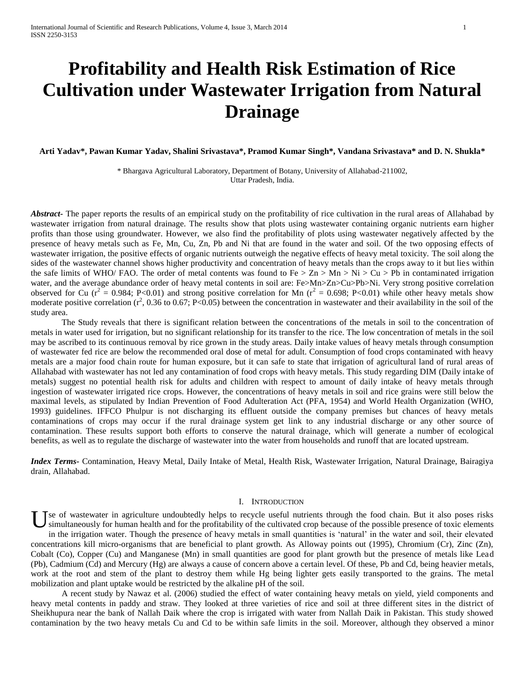# **Profitability and Health Risk Estimation of Rice Cultivation under Wastewater Irrigation from Natural Drainage**

## **Arti Yadav\*, Pawan Kumar Yadav, Shalini Srivastava\*, Pramod Kumar Singh\*, Vandana Srivastava\* and D. N. Shukla\***

\* Bhargava Agricultural Laboratory, Department of Botany, University of Allahabad-211002, Uttar Pradesh, India.

*Abstract-* The paper reports the results of an empirical study on the profitability of rice cultivation in the rural areas of Allahabad by wastewater irrigation from natural drainage. The results show that plots using wastewater containing organic nutrients earn higher profits than those using groundwater. However, we also find the profitability of plots using wastewater negatively affected by the presence of heavy metals such as Fe, Mn, Cu, Zn, Pb and Ni that are found in the water and soil. Of the two opposing effects of wastewater irrigation, the positive effects of organic nutrients outweigh the negative effects of heavy metal toxicity. The soil along the sides of the wastewater channel shows higher productivity and concentration of heavy metals than the crops away to it but lies within the safe limits of WHO/ FAO. The order of metal contents was found to  $Fe > Zn > Mn > Ni > Cu > Pb$  in contaminated irrigation water, and the average abundance order of heavy metal contents in soil are: Fe>Mn>Zn>Cu>Pb>Ni. Very strong positive correlation observed for Cu ( $r^2 = 0.984$ ; P<0.01) and strong positive correlation for Mn ( $r^2 = 0.698$ ; P<0.01) while other heavy metals show moderate positive correlation  $(r^2, 0.36 \text{ to } 0.67; P<0.05)$  between the concentration in wastewater and their availability in the soil of the study area.

The Study reveals that there is significant relation between the concentrations of the metals in soil to the concentration of metals in water used for irrigation, but no significant relationship for its transfer to the rice. The low concentration of metals in the soil may be ascribed to its continuous removal by rice grown in the study areas. Daily intake values of heavy metals through consumption of wastewater fed rice are below the recommended oral dose of metal for adult. Consumption of food crops contaminated with heavy metals are a major food chain route for human exposure, but it can safe to state that irrigation of agricultural land of rural areas of Allahabad with wastewater has not led any contamination of food crops with heavy metals. This study regarding DIM (Daily intake of metals) suggest no potential health risk for adults and children with respect to amount of daily intake of heavy metals through ingestion of wastewater irrigated rice crops. However, the concentrations of heavy metals in soil and rice grains were still below the maximal levels, as stipulated by Indian Prevention of Food Adulteration Act (PFA, 1954) and World Health Organization (WHO, 1993) guidelines. IFFCO Phulpur is not discharging its effluent outside the company premises but chances of heavy metals contaminations of crops may occur if the rural drainage system get link to any industrial discharge or any other source of contamination. These results support both efforts to conserve the natural drainage, which will generate a number of ecological benefits, as well as to regulate the discharge of wastewater into the water from households and runoff that are located upstream.

*Index Terms-* Contamination, Heavy Metal, Daily Intake of Metal, Health Risk, Wastewater Irrigation, Natural Drainage, Bairagiya drain, Allahabad.

## I. INTRODUCTION

Use of wastewater in agriculture undoubtedly helps to recycle useful nutrients through the food chain. But it also poses risks simultaneously for human health and for the profitability of the cultivated crop because of the simultaneously for human health and for the profitability of the cultivated crop because of the possible presence of toxic elements in the irrigation water. Though the presence of heavy metals in small quantities is 'natural' in the water and soil, their elevated concentrations kill micro-organisms that are beneficial to plant growth. As Alloway points out (1995), Chromium (Cr), Zinc (Zn), Cobalt (Co), Copper (Cu) and Manganese (Mn) in small quantities are good for plant growth but the presence of metals like Lead (Pb), Cadmium (Cd) and Mercury (Hg) are always a cause of concern above a certain level. Of these, Pb and Cd, being heavier metals, work at the root and stem of the plant to destroy them while Hg being lighter gets easily transported to the grains. The metal mobilization and plant uptake would be restricted by the alkaline pH of the soil.

A recent study by Nawaz et al. (2006) studied the effect of water containing heavy metals on yield, yield components and heavy metal contents in paddy and straw. They looked at three varieties of rice and soil at three different sites in the district of Sheikhupura near the bank of Nallah Daik where the crop is irrigated with water from Nallah Daik in Pakistan. This study showed contamination by the two heavy metals Cu and Cd to be within safe limits in the soil. Moreover, although they observed a minor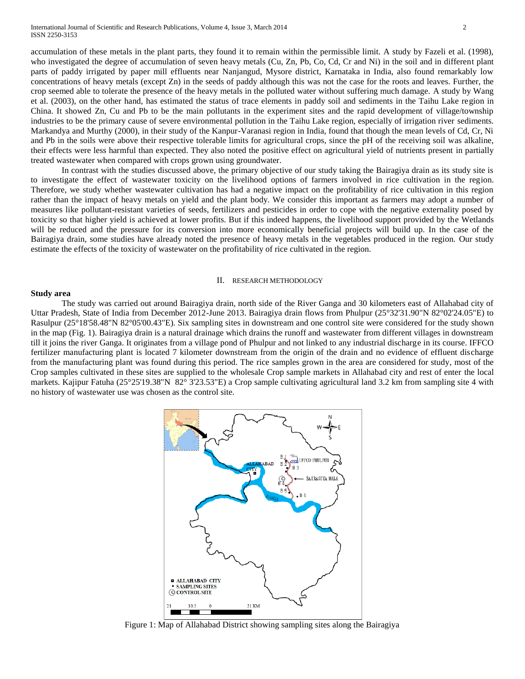accumulation of these metals in the plant parts, they found it to remain within the permissible limit. A study by Fazeli et al. (1998), who investigated the degree of accumulation of seven heavy metals (Cu, Zn, Pb, Co, Cd, Cr and Ni) in the soil and in different plant parts of paddy irrigated by paper mill effluents near Nanjangud, Mysore district, Karnataka in India, also found remarkably low concentrations of heavy metals (except Zn) in the seeds of paddy although this was not the case for the roots and leaves. Further, the crop seemed able to tolerate the presence of the heavy metals in the polluted water without suffering much damage. A study by Wang et al. (2003), on the other hand, has estimated the status of trace elements in paddy soil and sediments in the Taihu Lake region in China. It showed Zn, Cu and Pb to be the main pollutants in the experiment sites and the rapid development of village/township industries to be the primary cause of severe environmental pollution in the Taihu Lake region, especially of irrigation river sediments. Markandya and Murthy (2000), in their study of the Kanpur-Varanasi region in India, found that though the mean levels of Cd, Cr, Ni and Pb in the soils were above their respective tolerable limits for agricultural crops, since the pH of the receiving soil was alkaline, their effects were less harmful than expected. They also noted the positive effect on agricultural yield of nutrients present in partially treated wastewater when compared with crops grown using groundwater.

In contrast with the studies discussed above, the primary objective of our study taking the Bairagiya drain as its study site is to investigate the effect of wastewater toxicity on the livelihood options of farmers involved in rice cultivation in the region. Therefore, we study whether wastewater cultivation has had a negative impact on the profitability of rice cultivation in this region rather than the impact of heavy metals on yield and the plant body. We consider this important as farmers may adopt a number of measures like pollutant-resistant varieties of seeds, fertilizers and pesticides in order to cope with the negative externality posed by toxicity so that higher yield is achieved at lower profits. But if this indeed happens, the livelihood support provided by the Wetlands will be reduced and the pressure for its conversion into more economically beneficial projects will build up. In the case of the Bairagiya drain, some studies have already noted the presence of heavy metals in the vegetables produced in the region. Our study estimate the effects of the toxicity of wastewater on the profitability of rice cultivated in the region.

#### II. RESEARCH METHODOLOGY

#### **Study area**

The study was carried out around Bairagiya drain, north side of the River Ganga and 30 kilometers east of Allahabad city of Uttar Pradesh, State of India from December 2012-June 2013. Bairagiya drain flows from Phulpur (25°32'31.90"N 82°02'24.05"E) to Rasulpur (25°18'58.48"N 82°05'00.43"E). Six sampling sites in downstream and one control site were considered for the study shown in the map (Fig. 1). Bairagiya drain is a natural drainage which drains the runoff and wastewater from different villages in downstream till it joins the river Ganga. It originates from a village pond of Phulpur and not linked to any industrial discharge in its course. IFFCO fertilizer manufacturing plant is located 7 kilometer downstream from the origin of the drain and no evidence of effluent discharge from the manufacturing plant was found during this period. The rice samples grown in the area are considered for study, most of the Crop samples cultivated in these sites are supplied to the wholesale Crop sample markets in Allahabad city and rest of enter the local markets. Kajipur Fatuha (25°25'19.38"N 82° 3'23.53"E) a Crop sample cultivating agricultural land 3.2 km from sampling site 4 with no history of wastewater use was chosen as the control site.



Figure 1: Map of Allahabad District showing sampling sites along the Bairagiya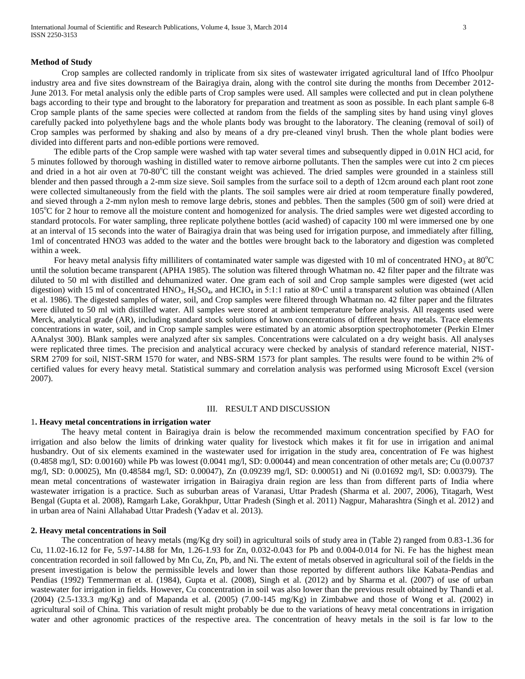#### **Method of Study**

Crop samples are collected randomly in triplicate from six sites of wastewater irrigated agricultural land of Iffco Phoolpur industry area and five sites downstream of the Bairagiya drain, along with the control site during the months from December 2012- June 2013. For metal analysis only the edible parts of Crop samples were used. All samples were collected and put in clean polythene bags according to their type and brought to the laboratory for preparation and treatment as soon as possible. In each plant sample 6-8 Crop sample plants of the same species were collected at random from the fields of the sampling sites by hand using vinyl gloves carefully packed into polyethylene bags and the whole plants body was brought to the laboratory. The cleaning (removal of soil) of Crop samples was performed by shaking and also by means of a dry pre-cleaned vinyl brush. Then the whole plant bodies were divided into different parts and non-edible portions were removed.

The edible parts of the Crop sample were washed with tap water several times and subsequently dipped in 0.01N HCl acid, for 5 minutes followed by thorough washing in distilled water to remove airborne pollutants. Then the samples were cut into 2 cm pieces and dried in a hot air oven at 70-80°C till the constant weight was achieved. The dried samples were grounded in a stainless still blender and then passed through a 2-mm size sieve. Soil samples from the surface soil to a depth of 12cm around each plant root zone were collected simultaneously from the field with the plants. The soil samples were air dried at room temperature finally powdered, and sieved through a 2-mm nylon mesh to remove large debris, stones and pebbles. Then the samples (500 gm of soil) were dried at  $105^{\circ}$ C for 2 hour to remove all the moisture content and homogenized for analysis. The dried samples were wet digested according to standard protocols. For water sampling, three replicate polythene bottles (acid washed) of capacity 100 ml were immersed one by one at an interval of 15 seconds into the water of Bairagiya drain that was being used for irrigation purpose, and immediately after filling, 1ml of concentrated HNO3 was added to the water and the bottles were brought back to the laboratory and digestion was completed within a week.

For heavy metal analysis fifty milliliters of contaminated water sample was digested with 10 ml of concentrated  $HNO<sub>3</sub>$  at  $80^{\circ}C$ until the solution became transparent (APHA 1985). The solution was filtered through Whatman no. 42 filter paper and the filtrate was diluted to 50 ml with distilled and dehumanized water. One gram each of soil and Crop sample samples were digested (wet acid digestion) with 15 ml of concentrated HNO<sub>3</sub>, H<sub>2</sub>SO<sub>4</sub>, and HCIO<sub>4</sub> in 5:1:1 ratio at 80◦C until a transparent solution was obtained (Allen et al. 1986). The digested samples of water, soil, and Crop samples were filtered through Whatman no. 42 filter paper and the filtrates were diluted to 50 ml with distilled water. All samples were stored at ambient temperature before analysis. All reagents used were Merck, analytical grade (AR), including standard stock solutions of known concentrations of different heavy metals. Trace elements concentrations in water, soil, and in Crop sample samples were estimated by an atomic absorption spectrophotometer (Perkin Elmer AAnalyst 300). Blank samples were analyzed after six samples. Concentrations were calculated on a dry weight basis. All analyses were replicated three times. The precision and analytical accuracy were checked by analysis of standard reference material, NIST-SRM 2709 for soil, NIST-SRM 1570 for water, and NBS-SRM 1573 for plant samples. The results were found to be within 2% of certified values for every heavy metal. Statistical summary and correlation analysis was performed using Microsoft Excel (version 2007).

## III. RESULT AND DISCUSSION

## 1**. Heavy metal concentrations in irrigation water**

The heavy metal content in Bairagiya drain is below the recommended maximum concentration specified by FAO for irrigation and also below the limits of drinking water quality for livestock which makes it fit for use in irrigation and animal husbandry. Out of six elements examined in the wastewater used for irrigation in the study area, concentration of Fe was highest (0.4858 mg/l, SD: 0.00160) while Pb was lowest (0.0041 mg/l, SD: 0.00044) and mean concentration of other metals are; Cu (0.00737 mg/l, SD: 0.00025), Mn (0.48584 mg/l, SD: 0.00047), Zn (0.09239 mg/l, SD: 0.00051) and Ni (0.01692 mg/l, SD: 0.00379). The mean metal concentrations of wastewater irrigation in Bairagiya drain region are less than from different parts of India where wastewater irrigation is a practice. Such as suburban areas of Varanasi, Uttar Pradesh (Sharma et al. 2007, 2006), Titagarh, West Bengal (Gupta et al. 2008), Ramgarh Lake, Gorakhpur, Uttar Pradesh (Singh et al. 2011) Nagpur, Maharashtra (Singh et al. 2012) and in urban area of Naini Allahabad Uttar Pradesh (Yadav et al. 2013).

## **2. Heavy metal concentrations in Soil**

The concentration of heavy metals (mg/Kg dry soil) in agricultural soils of study area in (Table 2) ranged from 0.83-1.36 for Cu, 11.02-16.12 for Fe, 5.97-14.88 for Mn, 1.26-1.93 for Zn, 0.032-0.043 for Pb and 0.004-0.014 for Ni. Fe has the highest mean concentration recorded in soil fallowed by Mn Cu, Zn, Pb, and Ni. The extent of metals observed in agricultural soil of the fields in the present investigation is below the permissible levels and lower than those reported by different authors like Kabata-Pendias and Pendias (1992) Temmerman et al. (1984), Gupta et al. (2008), Singh et al. (2012) and by Sharma et al. (2007) of use of urban wastewater for irrigation in fields. However, Cu concentration in soil was also lower than the previous result obtained by Thandi et al. (2004) (2.5-133.3 mg/Kg) and of Mapanda et al. (2005) (7.00-145 mg/Kg) in Zimbabwe and those of Wong et al. (2002) in agricultural soil of China. This variation of result might probably be due to the variations of heavy metal concentrations in irrigation water and other agronomic practices of the respective area. The concentration of heavy metals in the soil is far low to the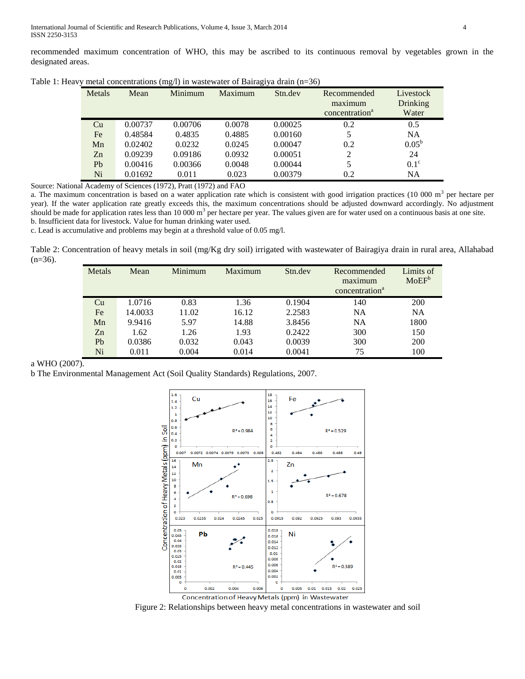recommended maximum concentration of WHO, this may be ascribed to its continuous removal by vegetables grown in the designated areas.

| $\left( \text{m/s} \right)$ in which was a band $\text{m/s}$ . |         |         |         |         |                            |                 |
|----------------------------------------------------------------|---------|---------|---------|---------|----------------------------|-----------------|
| Metals                                                         | Mean    | Minimum | Maximum | Stn.dev | Recommended                | Livestock       |
|                                                                |         |         |         |         | maximum                    | <b>Drinking</b> |
|                                                                |         |         |         |         | concentration <sup>a</sup> | Water           |
| Cu                                                             | 0.00737 | 0.00706 | 0.0078  | 0.00025 | 0.2                        | 0.5             |
| Fe                                                             | 0.48584 | 0.4835  | 0.4885  | 0.00160 |                            | <b>NA</b>       |
| Mn                                                             | 0.02402 | 0.0232  | 0.0245  | 0.00047 | 0.2                        | $0.05^{\rm b}$  |
| Zn                                                             | 0.09239 | 0.09186 | 0.0932  | 0.00051 | 2                          | 24              |
| Pb                                                             | 0.00416 | 0.00366 | 0.0048  | 0.00044 | 5                          | $0.1^\circ$     |
| Ni                                                             | 0.01692 | 0.011   | 0.023   | 0.00379 | 0.2                        | <b>NA</b>       |

Table 1: Heavy metal concentrations (mg/l) in wastewater of Bairagiya drain (n=36)

Source: National Academy of Sciences (1972), Pratt (1972) and FAO

a. The maximum concentration is based on a water application rate which is consistent with good irrigation practices (10 000  $\text{m}^3$  per hectare per year). If the water application rate greatly exceeds this, the maximum concentrations should be adjusted downward accordingly. No adjustment should be made for application rates less than 10 000  $m<sup>3</sup>$  per hectare per year. The values given are for water used on a continuous basis at one site. b. Insufficient data for livestock. Value for human drinking water used.

c. Lead is accumulative and problems may begin at a threshold value of 0.05 mg/l.

Table 2: Concentration of heavy metals in soil (mg/Kg dry soil) irrigated with wastewater of Bairagiya drain in rural area, Allahabad  $(n=36)$ .

| Metals | Mean    | Minimum | Maximum | Stn.dev | Recommended<br>maximum<br>concentration <sup>a</sup> | Limits of<br>MoEF <sup>b</sup> |
|--------|---------|---------|---------|---------|------------------------------------------------------|--------------------------------|
| Cu     | 1.0716  | 0.83    | 1.36    | 0.1904  | 140                                                  | 200                            |
| Fe     | 14.0033 | 11.02   | 16.12   | 2.2583  | NA                                                   | <b>NA</b>                      |
| Mn     | 9.9416  | 5.97    | 14.88   | 3.8456  | <b>NA</b>                                            | 1800                           |
| Zn     | 1.62    | 1.26    | 1.93    | 0.2422  | 300                                                  | 150                            |
| Pb     | 0.0386  | 0.032   | 0.043   | 0.0039  | 300                                                  | 200                            |
| Ni     | 0.011   | 0.004   | 0.014   | 0.0041  | 75                                                   | 100                            |

a WHO (2007).

b The Environmental Management Act (Soil Quality Standards) Regulations, 2007.



Figure 2: Relationships between heavy metal concentrations in wastewater and soil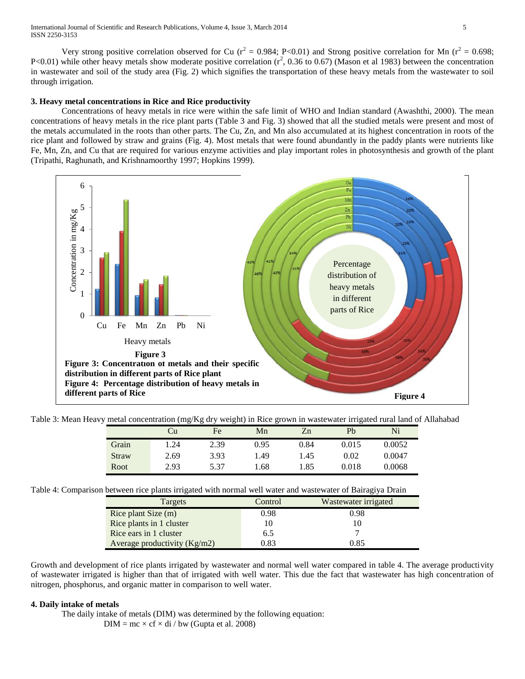International Journal of Scientific and Research Publications, Volume 4, Issue 3, March 2014 5 ISSN 2250-3153

Very strong positive correlation observed for Cu ( $r^2 = 0.984$ ; P<0.01) and Strong positive correlation for Mn ( $r^2 = 0.698$ ; P<0.01) while other heavy metals show moderate positive correlation  $(r^2, 0.36$  to 0.67) (Mason et al 1983) between the concentration in wastewater and soil of the study area (Fig. 2) which signifies the transportation of these heavy metals from the wastewater to soil through irrigation.

## **3. Heavy metal concentrations in Rice and Rice productivity**

Concentrations of heavy metals in rice were within the safe limit of WHO and Indian standard (Awashthi, 2000). The mean concentrations of heavy metals in the rice plant parts (Table 3 and Fig. 3) showed that all the studied metals were present and most of the metals accumulated in the roots than other parts. The Cu, Zn, and Mn also accumulated at its highest concentration in roots of the rice plant and followed by straw and grains (Fig. 4). Most metals that were found abundantly in the paddy plants were nutrients like Fe, Mn, Zn, and Cu that are required for various enzyme activities and play important roles in photosynthesis and growth of the plant (Tripathi, Raghunath, and Krishnamoorthy 1997; Hopkins 1999).



Table 3: Mean Heavy metal concentration (mg/Kg dry weight) in Rice grown in wastewater irrigated rural land of Allahabad

|              | Cu   | Fe   | Mn   | Zn   | Pb    | Ni     |
|--------------|------|------|------|------|-------|--------|
| Grain        | .24  | 2.39 | 0.95 | 0.84 | 0.015 | 0.0052 |
| <b>Straw</b> | 2.69 | 3.93 | 1.49 | 1.45 | 0.02  | 0.0047 |
| Root         | 2.93 | 5.37 | 1.68 | 1.85 | 0.018 | 0.0068 |

Table 4: Comparison between rice plants irrigated with normal well water and wastewater of Bairagiya Drain

| Targets                        | Control | Wastewater irrigated |
|--------------------------------|---------|----------------------|
| Rice plant Size (m)            | 0.98    | 0.98                 |
| Rice plants in 1 cluster       | 10      | 10                   |
| Rice ears in 1 cluster         | 6.5     |                      |
| Average productivity $(Kg/m2)$ | 0.83    | 0.85                 |

Growth and development of rice plants irrigated by wastewater and normal well water compared in table 4. The average productivity of wastewater irrigated is higher than that of irrigated with well water. This due the fact that wastewater has high concentration of nitrogen, phosphorus, and organic matter in comparison to well water.

#### **4. Daily intake of metals**

The daily intake of metals (DIM) was determined by the following equation:

 $\text{DIM} = \text{mc} \times \text{cf} \times \text{di} / \text{bw}$  (Gupta et al. 2008)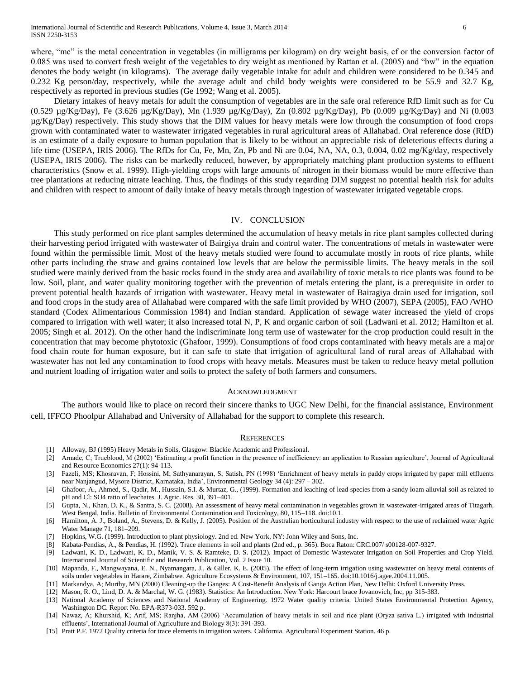where, "mc" is the metal concentration in vegetables (in milligrams per kilogram) on dry weight basis, cf or the conversion factor of 0.085 was used to convert fresh weight of the vegetables to dry weight as mentioned by Rattan et al. (2005) and "bw" in the equation denotes the body weight (in kilograms). The average daily vegetable intake for adult and children were considered to be 0.345 and 0.232 Kg person/day, respectively, while the average adult and child body weights were considered to be 55.9 and 32.7 Kg, respectively as reported in previous studies (Ge 1992; Wang et al. 2005).

Dietary intakes of heavy metals for adult the consumption of vegetables are in the safe oral reference RfD limit such as for Cu (0.529 µg/Kg/Day), Fe (3.626 µg/Kg/Day), Mn (1.939 µg/Kg/Day), Zn (0.802 µg/Kg/Day), Pb (0.009 µg/Kg/Day) and Ni (0.003 µg/Kg/Day) respectively. This study shows that the DIM values for heavy metals were low through the consumption of food crops grown with contaminated water to wastewater irrigated vegetables in rural agricultural areas of Allahabad. Oral reference dose (RfD) is an estimate of a daily exposure to human population that is likely to be without an appreciable risk of deleterious effects during a life time (USEPA, IRIS 2006). The RfDs for Cu, Fe, Mn, Zn, Pb and Ni are 0.04, NA, NA, 0.3, 0.004, 0.02 mg/Kg/day, respectively (USEPA, IRIS 2006). The risks can be markedly reduced, however, by appropriately matching plant production systems to effluent characteristics (Snow et al. 1999). High-yielding crops with large amounts of nitrogen in their biomass would be more effective than tree plantations at reducing nitrate leaching. Thus, the findings of this study regarding DIM suggest no potential health risk for adults and children with respect to amount of daily intake of heavy metals through ingestion of wastewater irrigated vegetable crops.

#### IV. CONCLUSION

This study performed on rice plant samples determined the accumulation of heavy metals in rice plant samples collected during their harvesting period irrigated with wastewater of Bairgiya drain and control water. The concentrations of metals in wastewater were found within the permissible limit. Most of the heavy metals studied were found to accumulate mostly in roots of rice plants, while other parts including the straw and grains contained low levels that are below the permissible limits. The heavy metals in the soil studied were mainly derived from the basic rocks found in the study area and availability of toxic metals to rice plants was found to be low. Soil, plant, and water quality monitoring together with the prevention of metals entering the plant, is a prerequisite in order to prevent potential health hazards of irrigation with wastewater. Heavy metal in wastewater of Bairagiya drain used for irrigation, soil and food crops in the study area of Allahabad were compared with the safe limit provided by WHO (2007), SEPA (2005), FAO /WHO standard (Codex Alimentarious Commission 1984) and Indian standard. Application of sewage water increased the yield of crops compared to irrigation with well water; it also increased total N, P, K and organic carbon of soil (Ladwani et al. 2012; Hamilton et al. 2005; Singh et al. 2012). On the other hand the indiscriminate long term use of wastewater for the crop production could result in the concentration that may become phytotoxic (Ghafoor, 1999). Consumptions of food crops contaminated with heavy metals are a major food chain route for human exposure, but it can safe to state that irrigation of agricultural land of rural areas of Allahabad with wastewater has not led any contamination to food crops with heavy metals. Measures must be taken to reduce heavy metal pollution and nutrient loading of irrigation water and soils to protect the safety of both farmers and consumers.

## ACKNOWLEDGMENT

The authors would like to place on record their sincere thanks to UGC New Delhi, for the financial assistance, Environment cell, IFFCO Phoolpur Allahabad and University of Allahabad for the support to complete this research.

#### **REFERENCES**

- [1] Alloway, BJ (1995) Heavy Metals in Soils, Glasgow: Blackie Academic and Professional.
- [2] Arnade, C; Trueblood, M (2002) 'Estimating a profit function in the presence of inefficiency: an application to Russian agriculture', Journal of Agricultural and Resource Economics 27(1): 94-113.
- [3] Fazeli, MS; Khosravan, F; Hossini, M; Sathyanarayan, S; Satish, PN (1998) 'Enrichment of heavy metals in paddy crops irrigated by paper mill effluents near Nanjangud, Mysore District, Karnataka, India', Environmental Geology 34 (4): 297 – 302.
- [4] Ghafoor, A., Ahmed, S., Qadir, M., Hussain, S.I. & Murtaz, G., (1999). Formation and leaching of lead species from a sandy loam alluvial soil as related to pH and Cl: SO4 ratio of leachates. J. Agric. Res. 30, 391–401.
- [5] Gupta, N., Khan, D. K., & Santra, S. C. (2008). An assessment of heavy metal contamination in vegetables grown in wastewater-irrigated areas of Titagarh, West Bengal, India. Bulletin of Environmental Contamination and Toxicology, 80, 115–118. doi:10.1.
- [6] Hamilton, A. J., Boland, A., Stevens, D. & Kelly, J. (2005). Position of the Australian horticultural industry with respect to the use of reclaimed water Agric Water Manage 71, 181–209.
- [7] Hopkins, W.G. (1999). Introduction to plant physiology. 2nd ed. New York, NY: John Wiley and Sons, Inc.
- [8] Kabata-Pendias, A., & Pendias, H. (1992). Trace elements in soil and plants (2nd ed., p. 365). Boca Raton: CRC.007/ s00128-007-9327.
- [9] Ladwani, K. D., Ladwani, K. D., Manik, V. S. & Ramteke, D. S. (2012). Impact of Domestic Wastewater Irrigation on Soil Properties and Crop Yield. International Journal of Scientific and Research Publication, Vol. 2 Issue 10.
- [10] Mapanda, F., Mangwayana, E. N., Nyamangara, J., & Giller, K. E. (2005). The effect of long-term irrigation using wastewater on heavy metal contents of soils under vegetables in Harare, Zimbabwe. Agriculture Ecosystems & Environment, 107, 151–165. doi:10.1016/j.agee.2004.11.005.
- [11] Markandya, A; Murthy, MN (2000) Cleaning-up the Ganges: A Cost-Benefit Analysis of Ganga Action Plan, New Delhi: Oxford University Press.
- [12] Mason, R. O., Lind, D. A. & Marchal, W. G. (1983). Statistics: An Introduction. New York: Harcourt brace Jovanovich, Inc, pp 315-383.
- [13] National Academy of Sciences and National Academy of Engineering. 1972 Water quality criteria. United States Environmental Protection Agency, Washington DC. Report No. EPA-R373-033. 592 p.
- [14] Nawaz, A; Khurshid, K; Arif, MS; Ranjha, AM (2006) 'Accumulation of heavy metals in soil and rice plant (Oryza sativa L.) irrigated with industrial effluents', International Journal of Agriculture and Biology 8(3): 391-393.
- [15] Pratt P.F. 1972 Quality criteria for trace elements in irrigation waters. California. Agricultural Experiment Station. 46 p.